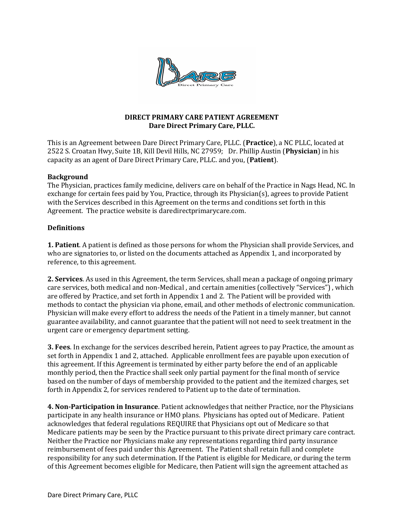

# DIRECT PRIMARY CARE PATIENT AGREEMENT Dare Direct Primary Care, PLLC.

This is an Agreement between Dare Direct Primary Care, PLLC. (Practice), a NC PLLC, located at 2522 S. Croatan Hwy, Suite 1B, Kill Devil Hills, NC 27959; Dr. Phillip Austin (Physician) in his capacity as an agent of Dare Direct Primary Care, PLLC. and you, (Patient).

## Background

The Physician, practices family medicine, delivers care on behalf of the Practice in Nags Head, NC. In exchange for certain fees paid by You, Practice, through its Physician(s), agrees to provide Patient with the Services described in this Agreement on the terms and conditions set forth in this Agreement. The practice website is daredirectprimarycare.com.

## Definitions

**1. Patient.** A patient is defined as those persons for whom the Physician shall provide Services, and who are signatories to, or listed on the documents attached as Appendix 1, and incorporated by reference, to this agreement.

2. Services. As used in this Agreement, the term Services, shall mean a package of ongoing primary care services, both medical and non-Medical , and certain amenities (collectively "Services") , which are offered by Practice, and set forth in Appendix 1 and 2. The Patient will be provided with methods to contact the physician via phone, email, and other methods of electronic communication. Physician will make every effort to address the needs of the Patient in a timely manner, but cannot guarantee availability, and cannot guarantee that the patient will not need to seek treatment in the urgent care or emergency department setting.

3. Fees. In exchange for the services described herein, Patient agrees to pay Practice, the amount as set forth in Appendix 1 and 2, attached. Applicable enrollment fees are payable upon execution of this agreement. If this Agreement is terminated by either party before the end of an applicable monthly period, then the Practice shall seek only partial payment for the final month of service based on the number of days of membership provided to the patient and the itemized charges, set forth in Appendix 2, for services rendered to Patient up to the date of termination.

4. Non-Participation in Insurance. Patient acknowledges that neither Practice, nor the Physicians participate in any health insurance or HMO plans. Physicians has opted out of Medicare. Patient acknowledges that federal regulations REQUIRE that Physicians opt out of Medicare so that Medicare patients may be seen by the Practice pursuant to this private direct primary care contract. Neither the Practice nor Physicians make any representations regarding third party insurance reimbursement of fees paid under this Agreement. The Patient shall retain full and complete responsibility for any such determination. If the Patient is eligible for Medicare, or during the term of this Agreement becomes eligible for Medicare, then Patient will sign the agreement attached as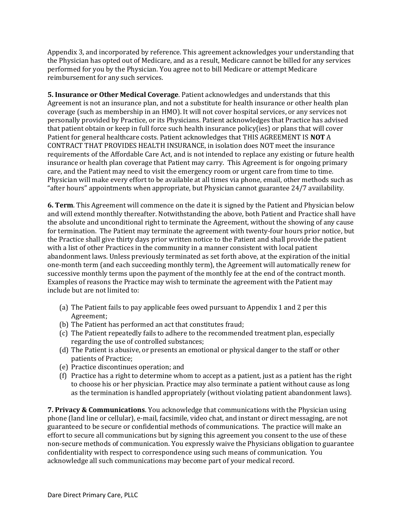Appendix 3, and incorporated by reference. This agreement acknowledges your understanding that the Physician has opted out of Medicare, and as a result, Medicare cannot be billed for any services performed for you by the Physician. You agree not to bill Medicare or attempt Medicare reimbursement for any such services.

5. Insurance or Other Medical Coverage. Patient acknowledges and understands that this Agreement is not an insurance plan, and not a substitute for health insurance or other health plan coverage (such as membership in an HMO). It will not cover hospital services, or any services not personally provided by Practice, or its Physicians. Patient acknowledges that Practice has advised that patient obtain or keep in full force such health insurance policy(ies) or plans that will cover Patient for general healthcare costs. Patient acknowledges that THIS AGREEMENT IS NOT A CONTRACT THAT PROVIDES HEALTH INSURANCE, in isolation does NOT meet the insurance requirements of the Affordable Care Act, and is not intended to replace any existing or future health insurance or health plan coverage that Patient may carry. This Agreement is for ongoing primary care, and the Patient may need to visit the emergency room or urgent care from time to time. Physician will make every effort to be available at all times via phone, email, other methods such as "after hours" appointments when appropriate, but Physician cannot guarantee 24/7 availability.

6. Term. This Agreement will commence on the date it is signed by the Patient and Physician below and will extend monthly thereafter. Notwithstanding the above, both Patient and Practice shall have the absolute and unconditional right to terminate the Agreement, without the showing of any cause for termination. The Patient may terminate the agreement with twenty-four hours prior notice, but the Practice shall give thirty days prior written notice to the Patient and shall provide the patient with a list of other Practices in the community in a manner consistent with local patient abandonment laws. Unless previously terminated as set forth above, at the expiration of the initial one-month term (and each succeeding monthly term), the Agreement will automatically renew for successive monthly terms upon the payment of the monthly fee at the end of the contract month. Examples of reasons the Practice may wish to terminate the agreement with the Patient may include but are not limited to:

- (a) The Patient fails to pay applicable fees owed pursuant to Appendix 1 and 2 per this Agreement;
- (b) The Patient has performed an act that constitutes fraud;
- (c) The Patient repeatedly fails to adhere to the recommended treatment plan, especially regarding the use of controlled substances;
- (d) The Patient is abusive, or presents an emotional or physical danger to the staff or other patients of Practice;
- (e) Practice discontinues operation; and
- (f) Practice has a right to determine whom to accept as a patient, just as a patient has the right to choose his or her physician. Practice may also terminate a patient without cause as long as the termination is handled appropriately (without violating patient abandonment laws).

7. Privacy & Communications. You acknowledge that communications with the Physician using phone (land line or cellular), e-mail, facsimile, video chat, and instant or direct messaging, are not guaranteed to be secure or confidential methods of communications. The practice will make an effort to secure all communications but by signing this agreement you consent to the use of these non-secure methods of communication. You expressly waive the Physicians obligation to guarantee confidentiality with respect to correspondence using such means of communication. You acknowledge all such communications may become part of your medical record.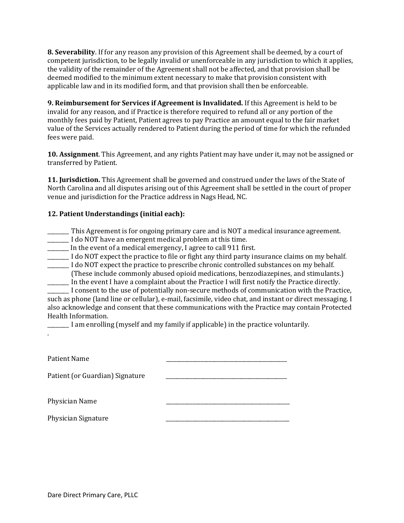8. Severability. If for any reason any provision of this Agreement shall be deemed, by a court of competent jurisdiction, to be legally invalid or unenforceable in any jurisdiction to which it applies, the validity of the remainder of the Agreement shall not be affected, and that provision shall be deemed modified to the minimum extent necessary to make that provision consistent with applicable law and in its modified form, and that provision shall then be enforceable.

9. Reimbursement for Services if Agreement is Invalidated. If this Agreement is held to be invalid for any reason, and if Practice is therefore required to refund all or any portion of the monthly fees paid by Patient, Patient agrees to pay Practice an amount equal to the fair market value of the Services actually rendered to Patient during the period of time for which the refunded fees were paid.

10. Assignment. This Agreement, and any rights Patient may have under it, may not be assigned or transferred by Patient.

11. Jurisdiction. This Agreement shall be governed and construed under the laws of the State of North Carolina and all disputes arising out of this Agreement shall be settled in the court of proper venue and jurisdiction for the Practice address in Nags Head, NC.

# 12. Patient Understandings (initial each):

- \_\_\_\_\_\_\_\_ This Agreement is for ongoing primary care and is NOT a medical insurance agreement.
- \_\_\_\_\_\_\_\_ I do NOT have an emergent medical problem at this time.
- In the event of a medical emergency, I agree to call 911 first.
- LIGE 1 do NOT expect the practice to file or fight any third party insurance claims on my behalf.
- \_\_\_\_\_\_\_\_ I do NOT expect the practice to prescribe chronic controlled substances on my behalf.
- (These include commonly abused opioid medications, benzodiazepines, and stimulants.) \_\_\_\_\_\_\_\_ In the event I have a complaint about the Practice I will first notify the Practice directly.

\_\_\_\_\_\_\_\_ I consent to the use of potentially non-secure methods of communication with the Practice, such as phone (land line or cellular), e-mail, facsimile, video chat, and instant or direct messaging. I also acknowledge and consent that these communications with the Practice may contain Protected Health Information.

| I am enrolling (myself and my family if applicable) in the practice voluntarily. |  |  |  |
|----------------------------------------------------------------------------------|--|--|--|
|                                                                                  |  |  |  |

| Patient Name                    |  |
|---------------------------------|--|
| Patient (or Guardian) Signature |  |
| Physician Name                  |  |
| Physician Signature             |  |

.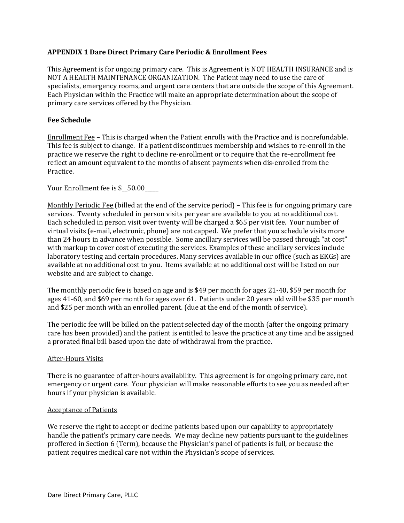## APPENDIX 1 Dare Direct Primary Care Periodic & Enrollment Fees

This Agreement is for ongoing primary care. This is Agreement is NOT HEALTH INSURANCE and is NOT A HEALTH MAINTENANCE ORGANIZATION. The Patient may need to use the care of specialists, emergency rooms, and urgent care centers that are outside the scope of this Agreement. Each Physician within the Practice will make an appropriate determination about the scope of primary care services offered by the Physician.

### Fee Schedule

Enrollment Fee – This is charged when the Patient enrolls with the Practice and is nonrefundable. This fee is subject to change. If a patient discontinues membership and wishes to re-enroll in the practice we reserve the right to decline re-enrollment or to require that the re-enrollment fee reflect an amount equivalent to the months of absent payments when dis-enrolled from the Practice.

Your Enrollment fee is \$ 50.00

Monthly Periodic Fee (billed at the end of the service period) – This fee is for ongoing primary care services. Twenty scheduled in person visits per year are available to you at no additional cost. Each scheduled in person visit over twenty will be charged a \$65 per visit fee. Your number of virtual visits (e-mail, electronic, phone) are not capped. We prefer that you schedule visits more than 24 hours in advance when possible. Some ancillary services will be passed through "at cost" with markup to cover cost of executing the services. Examples of these ancillary services include laboratory testing and certain procedures. Many services available in our office (such as EKGs) are available at no additional cost to you. Items available at no additional cost will be listed on our website and are subject to change.

The monthly periodic fee is based on age and is \$49 per month for ages 21-40, \$59 per month for ages 41-60, and \$69 per month for ages over 61. Patients under 20 years old will be \$35 per month and \$25 per month with an enrolled parent. (due at the end of the month of service).

The periodic fee will be billed on the patient selected day of the month (after the ongoing primary care has been provided) and the patient is entitled to leave the practice at any time and be assigned a prorated final bill based upon the date of withdrawal from the practice.

### After-Hours Visits

There is no guarantee of after-hours availability. This agreement is for ongoing primary care, not emergency or urgent care. Your physician will make reasonable efforts to see you as needed after hours if your physician is available.

### Acceptance of Patients

We reserve the right to accept or decline patients based upon our capability to appropriately handle the patient's primary care needs. We may decline new patients pursuant to the guidelines proffered in Section 6 (Term), because the Physician's panel of patients is full, or because the patient requires medical care not within the Physician's scope of services.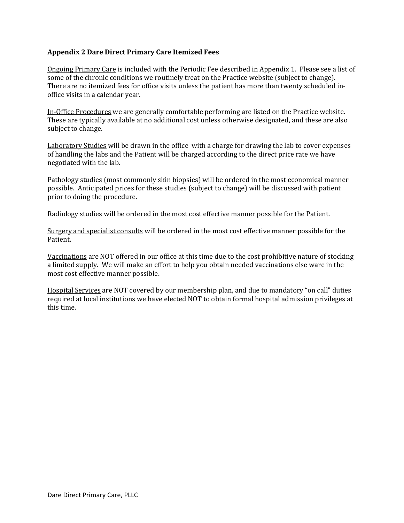# Appendix 2 Dare Direct Primary Care Itemized Fees

Ongoing Primary Care is included with the Periodic Fee described in Appendix 1. Please see a list of some of the chronic conditions we routinely treat on the Practice website (subject to change). There are no itemized fees for office visits unless the patient has more than twenty scheduled inoffice visits in a calendar year.

In-Office Procedures we are generally comfortable performing are listed on the Practice website. These are typically available at no additional cost unless otherwise designated, and these are also subject to change.

Laboratory Studies will be drawn in the office with a charge for drawing the lab to cover expenses of handling the labs and the Patient will be charged according to the direct price rate we have negotiated with the lab.

Pathology studies (most commonly skin biopsies) will be ordered in the most economical manner possible. Anticipated prices for these studies (subject to change) will be discussed with patient prior to doing the procedure.

Radiology studies will be ordered in the most cost effective manner possible for the Patient.

Surgery and specialist consults will be ordered in the most cost effective manner possible for the Patient.

Vaccinations are NOT offered in our office at this time due to the cost prohibitive nature of stocking a limited supply. We will make an effort to help you obtain needed vaccinations else ware in the most cost effective manner possible.

Hospital Services are NOT covered by our membership plan, and due to mandatory "on call" duties required at local institutions we have elected NOT to obtain formal hospital admission privileges at this time.